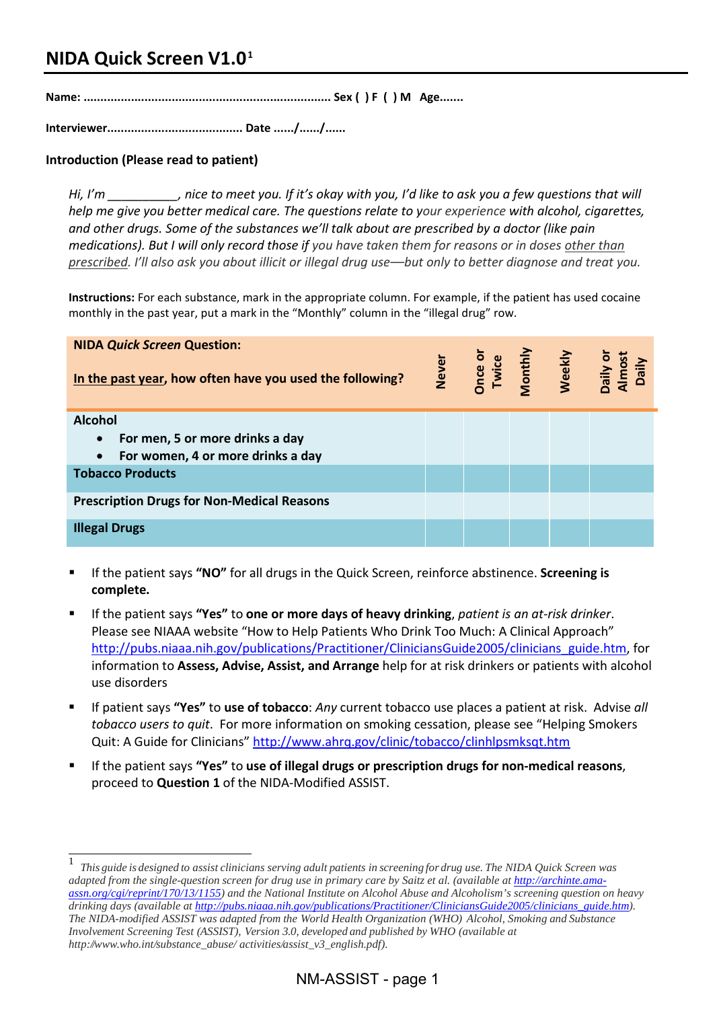## **NIDA Quick Screen V[1](#page-0-0).0**<sup>1</sup>

**Name: ......................................................................... Sex ( ) F ( ) M Age.......** 

**Interviewer........................................ Date ....../....../......**

#### **Introduction (Please read to patient)**

*Hi, I'm \_\_\_\_\_\_\_\_\_\_, nice to meet you. If it's okay with you, I'd like to ask you a few questions that will help me give you better medical care. The questions relate to your experience with alcohol, cigarettes, and other drugs. Some of the substances we'll talk about are prescribed by a doctor (like pain medications). But I will only record those if you have taken them for reasons or in doses other than prescribed. I'll also ask you about illicit or illegal drug use––but only to better diagnose and treat you.*

**Instructions:** For each substance, mark in the appropriate column. For example, if the patient has used cocaine monthly in the past year, put a mark in the "Monthly" column in the "illegal drug" row.

| <b>NIDA Quick Screen Question:</b><br>In the past year, how often have you used the following?                   | Never |  | Once or<br>Twice<br>Monthly<br>Weekly<br>Daily or<br>Almost |
|------------------------------------------------------------------------------------------------------------------|-------|--|-------------------------------------------------------------|
| <b>Alcohol</b><br>For men, 5 or more drinks a day<br>$\bullet$<br>For women, 4 or more drinks a day<br>$\bullet$ |       |  |                                                             |
| <b>Tobacco Products</b>                                                                                          |       |  |                                                             |
| <b>Prescription Drugs for Non-Medical Reasons</b>                                                                |       |  |                                                             |
| <b>Illegal Drugs</b>                                                                                             |       |  |                                                             |

- If the patient says **"NO"** for all drugs in the Quick Screen, reinforce abstinence. **Screening is complete.**
- If the patient says **"Yes"** to **one or more days of heavy drinking**, *patient is an at-risk drinker*. Please see NIAAA website "How to Help Patients Who Drink Too Much: A Clinical Approach" [http://pubs.niaaa.nih.gov/publications/Practitioner/CliniciansGuide2005/clinicians\\_guide.htm,](http://pubs.niaaa.nih.gov/publications/Practitioner/CliniciansGuide2005/clinicians_guide.htm) for information to **Assess, Advise, Assist, and Arrange** help for at risk drinkers or patients with alcohol use disorders
- If patient says **"Yes"** to **use of tobacco**: *Any* current tobacco use places a patient at risk. Advise *all tobacco users to quit*. For more information on smoking cessation, please see "Helping Smokers Quit: A Guide for Clinicians"<http://www.ahrq.gov/clinic/tobacco/clinhlpsmksqt.htm>
- If the patient says **"Yes"** to **use of illegal drugs or prescription drugs for non-medical reasons**, proceed to **Question 1** of the NIDA-Modified ASSIST.

<span id="page-0-0"></span><sup>1</sup> *This guide is designed to assist clinicians serving adult patients in screening for drug use. The NIDA Quick Screen was adapted from the single-question screen for drug use in primary care by Saitz et al. (available a[t http://archinte.ama](http://archinte.ama-assn.org/cgi/reprint/170/13/1155)[assn.org/cgi/reprint/170/13/1155\)](http://archinte.ama-assn.org/cgi/reprint/170/13/1155) and the National Institute on Alcohol Abuse and Alcoholism's screening question on heavy drinking days (available a[t http://pubs.niaaa.nih.gov/publications/Practitioner/CliniciansGuide2005/clinicians\\_guide.htm\)](http://pubs.niaaa.nih.gov/publications/Practitioner/CliniciansGuide2005/clinicians_guide.htm). The NIDA-modified ASSIST was adapted from the World Health Organization (WHO) Alcohol, Smoking and Substance Involvement Screening Test (ASSIST), Version 3.0, developed and published by WHO (available at [http://www.who.int/substance\\_abuse/](http://www.who.int/substance_abuse/) activities/assist\_v3\_english.pdf).*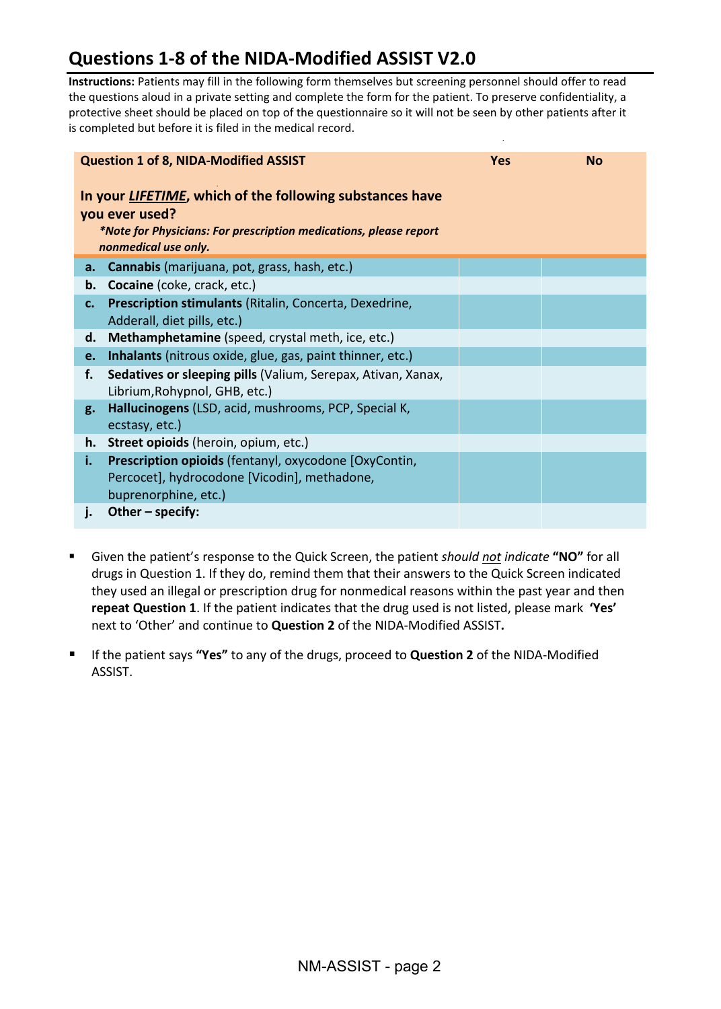# **Questions 1-8 of the NIDA-Modified ASSIST V2.0**

**Instructions:** Patients may fill in the following form themselves but screening personnel should offer to read the questions aloud in a private setting and complete the form for the patient. To preserve confidentiality, a protective sheet should be placed on top of the questionnaire so it will not be seen by other patients after it is completed but before it is filed in the medical record.

|             | <b>Question 1 of 8, NIDA-Modified ASSIST</b>                                                                                                                            | <b>Yes</b> | <b>No</b> |
|-------------|-------------------------------------------------------------------------------------------------------------------------------------------------------------------------|------------|-----------|
|             | In your LIFETIME, which of the following substances have<br>you ever used?<br>*Note for Physicians: For prescription medications, please report<br>nonmedical use only. |            |           |
| а.          | <b>Cannabis</b> (marijuana, pot, grass, hash, etc.)                                                                                                                     |            |           |
| b.          | Cocaine (coke, crack, etc.)                                                                                                                                             |            |           |
| $c_{\cdot}$ | Prescription stimulants (Ritalin, Concerta, Dexedrine,<br>Adderall, diet pills, etc.)                                                                                   |            |           |
| d.          | Methamphetamine (speed, crystal meth, ice, etc.)                                                                                                                        |            |           |
| e.          | Inhalants (nitrous oxide, glue, gas, paint thinner, etc.)                                                                                                               |            |           |
| f.          | Sedatives or sleeping pills (Valium, Serepax, Ativan, Xanax,<br>Librium, Rohypnol, GHB, etc.)                                                                           |            |           |
| g.          | Hallucinogens (LSD, acid, mushrooms, PCP, Special K,<br>ecstasy, etc.)                                                                                                  |            |           |
| h.          | <b>Street opioids</b> (heroin, opium, etc.)                                                                                                                             |            |           |
| i.          | Prescription opioids (fentanyl, oxycodone [OxyContin,<br>Percocet], hydrocodone [Vicodin], methadone,<br>buprenorphine, etc.)                                           |            |           |
| j.          | Other $-$ specify:                                                                                                                                                      |            |           |

- Given the patient's response to the Quick Screen, the patient *should not indicate* **"NO"** for all drugs in Question 1. If they do, remind them that their answers to the Quick Screen indicated they used an illegal or prescription drug for nonmedical reasons within the past year and then **repeat Question 1**. If the patient indicates that the drug used is not listed, please mark **'Yes'** next to 'Other' and continue to **Question 2** of the NIDA-Modified ASSIST**.**
- If the patient says **"Yes"** to any of the drugs, proceed to **Question 2** of the NIDA-Modified ASSIST.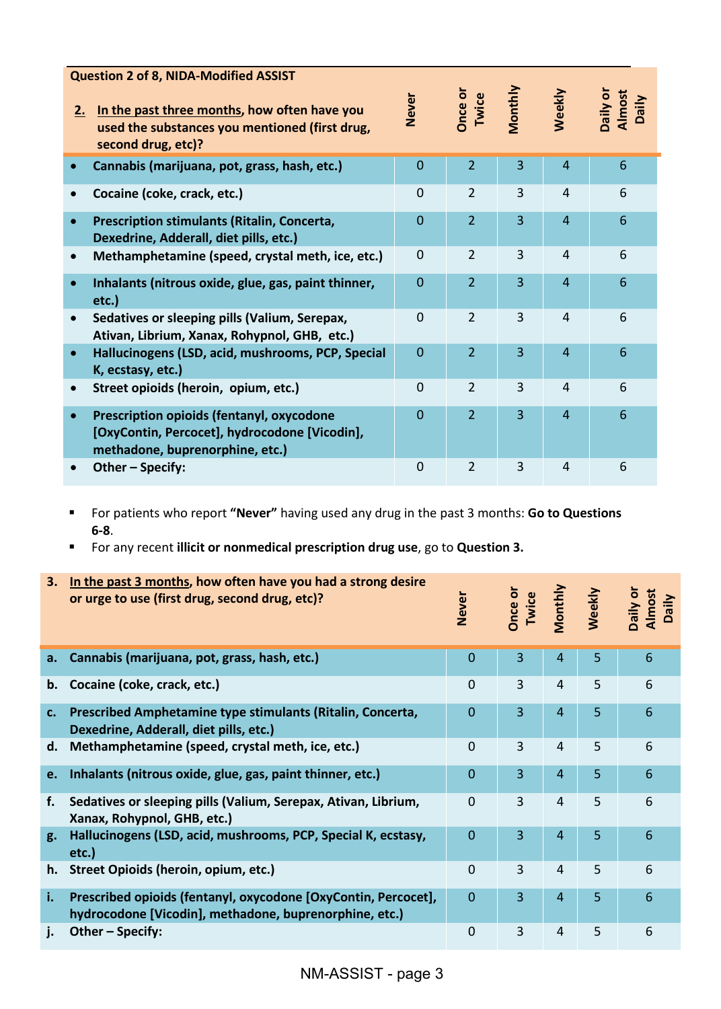|           | <b>Question 2 of 8, NIDA-Modified ASSIST</b>                                                                                  |                |                  |                |                |                             |
|-----------|-------------------------------------------------------------------------------------------------------------------------------|----------------|------------------|----------------|----------------|-----------------------------|
| 2.        | In the past three months, how often have you<br>used the substances you mentioned (first drug,<br>second drug, etc)?          | <b>Never</b>   | Once or<br>Twice | Monthly        | Weekly         | Almost<br>Daily<br>Daily or |
|           | Cannabis (marijuana, pot, grass, hash, etc.)                                                                                  | $\overline{0}$ | $\overline{2}$   | 3              | $\overline{4}$ | 6                           |
|           | Cocaine (coke, crack, etc.)                                                                                                   | $\overline{0}$ | $\overline{2}$   | $\overline{3}$ | $\overline{4}$ | 6                           |
|           | Prescription stimulants (Ritalin, Concerta,<br>Dexedrine, Adderall, diet pills, etc.)                                         | $\mathbf 0$    | $\overline{2}$   | 3              | $\overline{4}$ | 6                           |
| $\bullet$ | Methamphetamine (speed, crystal meth, ice, etc.)                                                                              | $\Omega$       | 2                | 3              | $\overline{4}$ | 6                           |
|           | Inhalants (nitrous oxide, glue, gas, paint thinner,<br>etc.)                                                                  | $\overline{0}$ | $\overline{2}$   | 3              | $\overline{4}$ | 6                           |
| $\bullet$ | Sedatives or sleeping pills (Valium, Serepax,<br>Ativan, Librium, Xanax, Rohypnol, GHB, etc.)                                 | $\Omega$       | $\overline{2}$   | 3              | $\overline{4}$ | 6                           |
| $\bullet$ | Hallucinogens (LSD, acid, mushrooms, PCP, Special<br>K, ecstasy, etc.)                                                        | $\mathbf{0}$   | $\overline{2}$   | 3              | $\overline{4}$ | 6                           |
|           | Street opioids (heroin, opium, etc.)                                                                                          | $\Omega$       | $\overline{2}$   | 3              | $\overline{4}$ | 6                           |
|           | Prescription opioids (fentanyl, oxycodone<br>[OxyContin, Percocet], hydrocodone [Vicodin],<br>methadone, buprenorphine, etc.) | $\Omega$       | $\overline{2}$   | 3              | $\overline{4}$ | 6                           |
|           | Other - Specify:                                                                                                              | $\overline{0}$ | $\overline{2}$   | 3              | $\overline{4}$ | 6                           |

 For patients who report **"Never"** having used any drug in the past 3 months: **Go to Questions 6-8**.

For any recent **illicit or nonmedical prescription drug use**, go to **Question 3.**

| 3.          | In the past 3 months, how often have you had a strong desire<br>or urge to use (first drug, second drug, etc)?           | <b>Never</b> | Once or<br>Twice<br>Monthly<br>Weekly |                |    | Daily or<br>Almost<br>Daily |
|-------------|--------------------------------------------------------------------------------------------------------------------------|--------------|---------------------------------------|----------------|----|-----------------------------|
| a.          | Cannabis (marijuana, pot, grass, hash, etc.)                                                                             | $\Omega$     | 3                                     | 4              | 5  | 6                           |
| b.          | Cocaine (coke, crack, etc.)                                                                                              | $\Omega$     | 3                                     | 4              | 5  | 6                           |
| $c_{\cdot}$ | Prescribed Amphetamine type stimulants (Ritalin, Concerta,<br>Dexedrine, Adderall, diet pills, etc.)                     | $\Omega$     | 3                                     | $\overline{4}$ | 5  | 6                           |
| d.          | Methamphetamine (speed, crystal meth, ice, etc.)                                                                         | $\Omega$     | 3                                     | $\overline{4}$ | 5  | 6                           |
| e.          | Inhalants (nitrous oxide, glue, gas, paint thinner, etc.)                                                                | $\theta$     | 3                                     | $\overline{4}$ | 5  | 6                           |
| f.          | Sedatives or sleeping pills (Valium, Serepax, Ativan, Librium,<br>Xanax, Rohypnol, GHB, etc.)                            | $\Omega$     | 3                                     | 4              | 5  | 6                           |
| g.          | Hallucinogens (LSD, acid, mushrooms, PCP, Special K, ecstasy,<br>etc.)                                                   | $\Omega$     | 3                                     | $\overline{4}$ | 5  | 6                           |
| h.          | <b>Street Opioids (heroin, opium, etc.)</b>                                                                              | $\mathbf 0$  | 3                                     | 4              | 5  | 6                           |
| i.          | Prescribed opioids (fentanyl, oxycodone [OxyContin, Percocet],<br>hydrocodone [Vicodin], methadone, buprenorphine, etc.) | $\Omega$     | 3                                     | $\overline{4}$ | 5. | 6                           |
| j.          | Other - Specify:                                                                                                         | $\Omega$     | 3                                     | 4              | 5  | 6                           |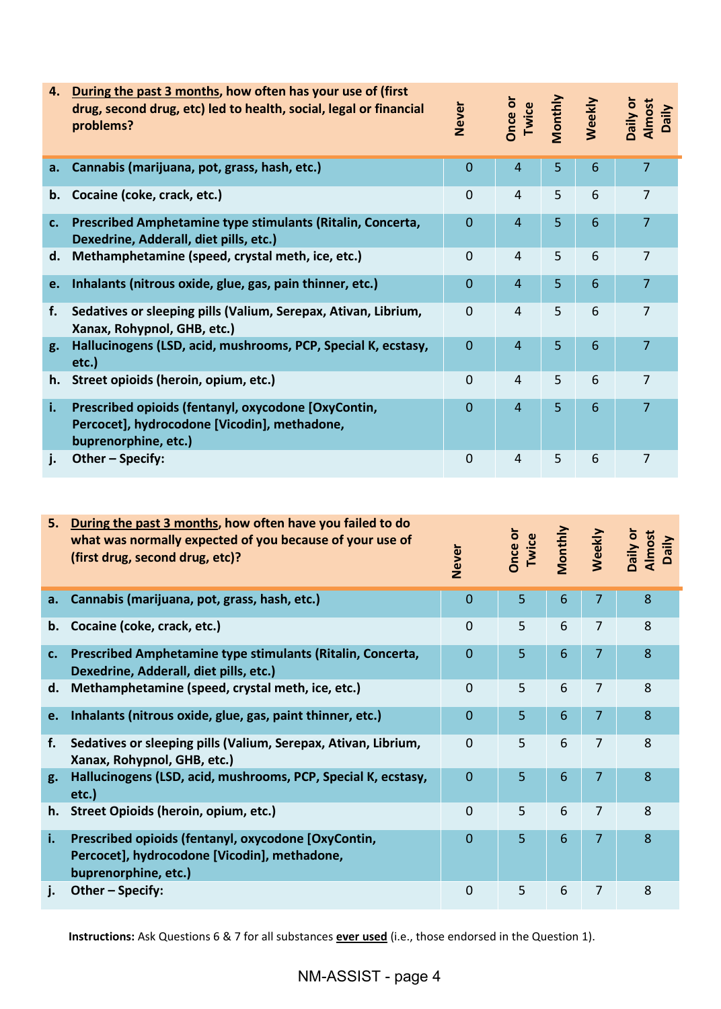| 4.            | During the past 3 months, how often has your use of (first<br>drug, second drug, etc) led to health, social, legal or financial<br>problems? | Never    | Once or<br>Twice | Monthly | Weekly | Daily or<br>Almost<br>Daily |
|---------------|----------------------------------------------------------------------------------------------------------------------------------------------|----------|------------------|---------|--------|-----------------------------|
| a.            | Cannabis (marijuana, pot, grass, hash, etc.)                                                                                                 | $\Omega$ | $\overline{4}$   | 5       | 6      | $\overline{7}$              |
| b.            | Cocaine (coke, crack, etc.)                                                                                                                  | $\Omega$ | $\overline{4}$   | 5       | 6      | $\overline{7}$              |
| $C_{\bullet}$ | Prescribed Amphetamine type stimulants (Ritalin, Concerta,<br>Dexedrine, Adderall, diet pills, etc.)                                         | $\Omega$ | $\overline{4}$   | 5       | 6      | 7                           |
| d.            | Methamphetamine (speed, crystal meth, ice, etc.)                                                                                             | $\Omega$ | $\overline{4}$   | 5       | 6      | 7                           |
| e.            | Inhalants (nitrous oxide, glue, gas, pain thinner, etc.)                                                                                     | $\Omega$ | $\overline{4}$   | 5       | 6      | 7                           |
| f.            | Sedatives or sleeping pills (Valium, Serepax, Ativan, Librium,<br>Xanax, Rohypnol, GHB, etc.)                                                | $\Omega$ | $\overline{4}$   | 5       | 6      | 7                           |
| g.            | Hallucinogens (LSD, acid, mushrooms, PCP, Special K, ecstasy,<br>etc.)                                                                       | $\Omega$ | $\overline{4}$   | 5       | 6      | 7                           |
| h.            | Street opioids (heroin, opium, etc.)                                                                                                         | $\Omega$ | $\overline{4}$   | 5       | 6      | 7                           |
| i.            | Prescribed opioids (fentanyl, oxycodone [OxyContin,<br>Percocet], hydrocodone [Vicodin], methadone,<br>buprenorphine, etc.)                  | $\Omega$ | $\overline{4}$   | 5       | 6      | $\overline{7}$              |
| j.            | Other - Specify:                                                                                                                             | $\Omega$ | 4                | 5       | 6      | 7                           |

| 5.            | During the past 3 months, how often have you failed to do<br>what was normally expected of you because of your use of<br>(first drug, second drug, etc)? | <b>Never</b> | Once or<br>Twice | Monthly | Weekly         | Daily or<br>Almost<br>Viie |
|---------------|----------------------------------------------------------------------------------------------------------------------------------------------------------|--------------|------------------|---------|----------------|----------------------------|
| a.            | Cannabis (marijuana, pot, grass, hash, etc.)                                                                                                             | $\theta$     | 5                | 6       | 7              | 8                          |
| b.            | Cocaine (coke, crack, etc.)                                                                                                                              | $\Omega$     | 5                | 6       | 7              | 8                          |
| $C_{\bullet}$ | Prescribed Amphetamine type stimulants (Ritalin, Concerta,<br>Dexedrine, Adderall, diet pills, etc.)                                                     | $\theta$     | 5                | 6       | 7              | 8                          |
| d.            | Methamphetamine (speed, crystal meth, ice, etc.)                                                                                                         | $\Omega$     | 5                | 6       | 7              | 8                          |
| e.            | Inhalants (nitrous oxide, glue, gas, paint thinner, etc.)                                                                                                | $\theta$     | 5                | 6       | 7              | 8                          |
| f.            | Sedatives or sleeping pills (Valium, Serepax, Ativan, Librium,<br>Xanax, Rohypnol, GHB, etc.)                                                            | $\Omega$     | 5                | 6       | 7              | 8                          |
| g.            | Hallucinogens (LSD, acid, mushrooms, PCP, Special K, ecstasy,<br>etc.)                                                                                   | $\Omega$     | 5                | 6       | 7              | 8                          |
| h.            | Street Opioids (heroin, opium, etc.)                                                                                                                     | $\Omega$     | 5                | 6       | $\overline{7}$ | 8                          |
| i.            | Prescribed opioids (fentanyl, oxycodone [OxyContin,<br>Percocet], hydrocodone [Vicodin], methadone,<br>buprenorphine, etc.)                              | $\Omega$     | 5                | 6       | 7              | 8                          |
| j.            | Other - Specify:                                                                                                                                         | $\Omega$     | 5                | 6       | 7              | 8                          |

**Instructions:** Ask Questions 6 & 7 for all substances **ever used** (i.e., those endorsed in the Question 1).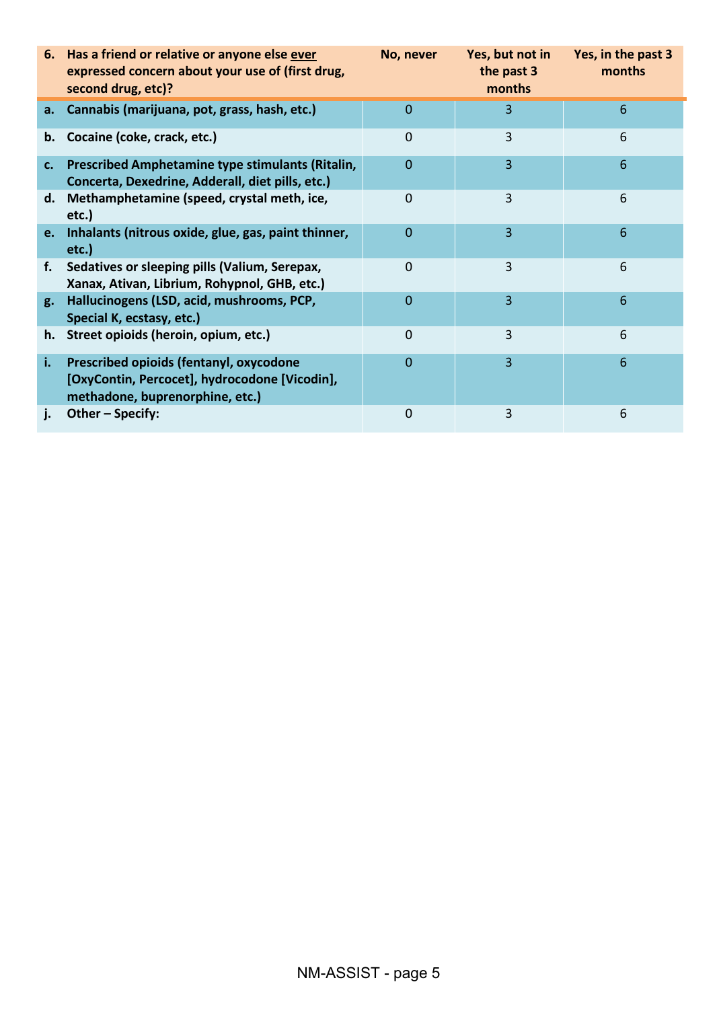|             | 6. Has a friend or relative or anyone else ever<br>expressed concern about your use of (first drug,<br>second drug, etc)?   | No, never      | Yes, but not in<br>the past 3<br>months | Yes, in the past 3<br>months |
|-------------|-----------------------------------------------------------------------------------------------------------------------------|----------------|-----------------------------------------|------------------------------|
|             | a. Cannabis (marijuana, pot, grass, hash, etc.)                                                                             | $\mathbf 0$    | 3                                       | 6                            |
| b.          | Cocaine (coke, crack, etc.)                                                                                                 | 0              | 3                                       | 6                            |
| $c_{\cdot}$ | Prescribed Amphetamine type stimulants (Ritalin,<br>Concerta, Dexedrine, Adderall, diet pills, etc.)                        | $\Omega$       | 3                                       | 6                            |
|             | d. Methamphetamine (speed, crystal meth, ice,<br>etc.)                                                                      | 0              | 3                                       | 6                            |
|             | e. Inhalants (nitrous oxide, glue, gas, paint thinner,<br>etc.)                                                             | $\overline{0}$ | 3                                       | 6                            |
| f.          | Sedatives or sleeping pills (Valium, Serepax,<br>Xanax, Ativan, Librium, Rohypnol, GHB, etc.)                               | 0              | 3                                       | 6                            |
| g.          | Hallucinogens (LSD, acid, mushrooms, PCP,<br>Special K, ecstasy, etc.)                                                      | $\overline{0}$ | 3                                       | $6\phantom{1}6$              |
| h.          | Street opioids (heroin, opium, etc.)                                                                                        | 0              | 3                                       | 6                            |
| i.          | Prescribed opioids (fentanyl, oxycodone<br>[OxyContin, Percocet], hydrocodone [Vicodin],<br>methadone, buprenorphine, etc.) | $\overline{0}$ | 3                                       | $6\phantom{1}6$              |
| j.          | Other - Specify:                                                                                                            | 0              | 3                                       | 6                            |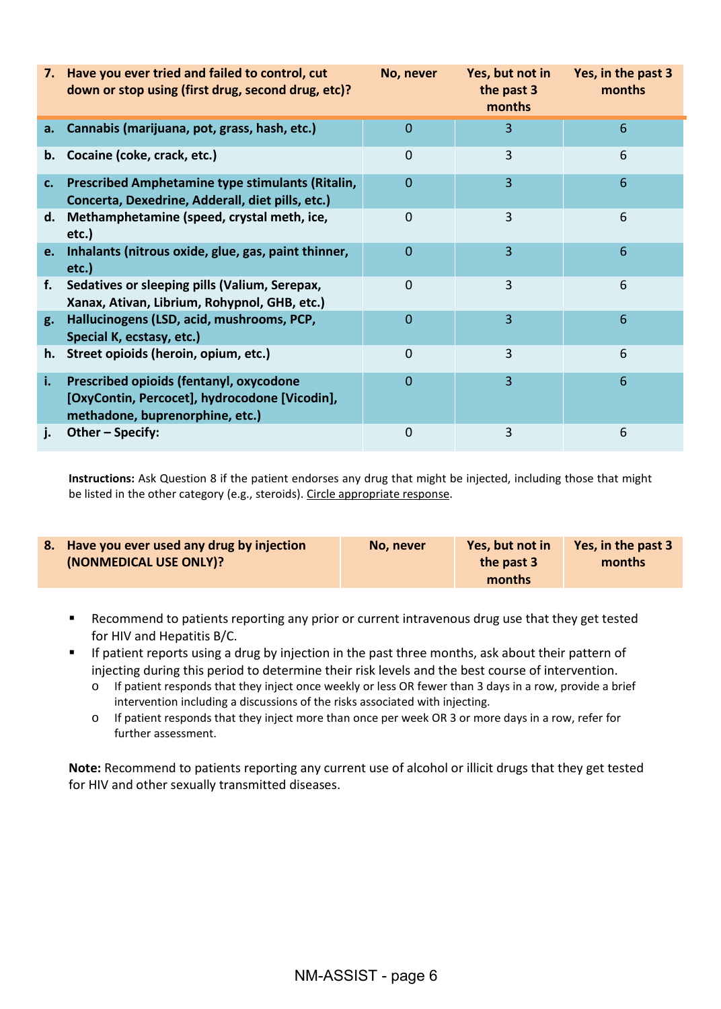|             | 7. Have you ever tried and failed to control, cut<br>down or stop using (first drug, second drug, etc)?                     | No, never | Yes, but not in<br>the past 3<br>months | Yes, in the past 3<br>months |
|-------------|-----------------------------------------------------------------------------------------------------------------------------|-----------|-----------------------------------------|------------------------------|
|             | a. Cannabis (marijuana, pot, grass, hash, etc.)                                                                             | $\Omega$  | 3                                       | 6                            |
| b.          | Cocaine (coke, crack, etc.)                                                                                                 | $\Omega$  | 3                                       | 6                            |
| $c_{\cdot}$ | Prescribed Amphetamine type stimulants (Ritalin,<br>Concerta, Dexedrine, Adderall, diet pills, etc.)                        | $\Omega$  | 3                                       | 6                            |
|             | d. Methamphetamine (speed, crystal meth, ice,<br>etc.)                                                                      | $\Omega$  | 3                                       | 6                            |
|             | e. Inhalants (nitrous oxide, glue, gas, paint thinner,<br>etc.)                                                             | $\Omega$  | 3                                       | 6                            |
| f.          | Sedatives or sleeping pills (Valium, Serepax,<br>Xanax, Ativan, Librium, Rohypnol, GHB, etc.)                               | $\Omega$  | 3                                       | 6                            |
|             | g. Hallucinogens (LSD, acid, mushrooms, PCP,<br>Special K, ecstasy, etc.)                                                   | $\Omega$  | 3                                       | 6                            |
| h.          | Street opioids (heroin, opium, etc.)                                                                                        | $\Omega$  | 3                                       | 6                            |
| i.          | Prescribed opioids (fentanyl, oxycodone<br>[OxyContin, Percocet], hydrocodone [Vicodin],<br>methadone, buprenorphine, etc.) | $\Omega$  | 3                                       | 6                            |
| j.          | Other - Specify:                                                                                                            | $\Omega$  | 3                                       | 6                            |

**Instructions:** Ask Question 8 if the patient endorses any drug that might be injected, including those that might be listed in the other category (e.g., steroids). Circle appropriate response.

| 8. Have you ever used any drug by injection | No. never | Yes, but not in | Yes, in the past 3 |
|---------------------------------------------|-----------|-----------------|--------------------|
| (NONMEDICAL USE ONLY)?                      |           | the past 3      | months             |
|                                             |           | months          |                    |

- **EXECOMMENT IS Recommend to patients reporting any prior or current intravenous drug use that they get tested** for HIV and Hepatitis B/C.
- **If patient reports using a drug by injection in the past three months, ask about their pattern of** injecting during this period to determine their risk levels and the best course of intervention.
	- o If patient responds that they inject once weekly or less OR fewer than 3 days in a row, provide a brief intervention including a discussions of the risks associated with injecting.
	- o If patient responds that they inject more than once per week OR 3 or more days in a row, refer for further assessment.

**Note:** Recommend to patients reporting any current use of alcohol or illicit drugs that they get tested for HIV and other sexually transmitted diseases.